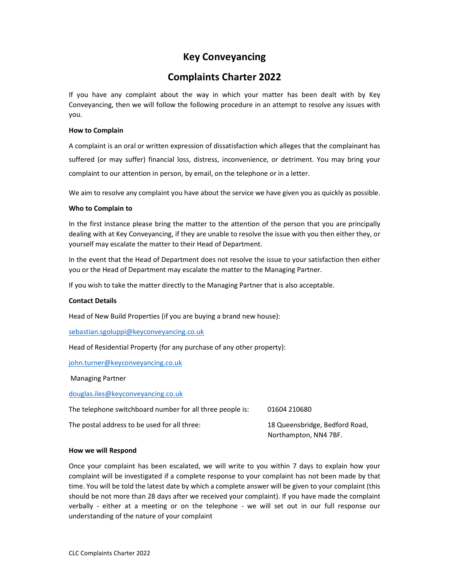# Key Conveyancing

## Complaints Charter 2022

If you have any complaint about the way in which your matter has been dealt with by Key Conveyancing, then we will follow the following procedure in an attempt to resolve any issues with you.

#### How to Complain

A complaint is an oral or written expression of dissatisfaction which alleges that the complainant has suffered (or may suffer) financial loss, distress, inconvenience, or detriment. You may bring your complaint to our attention in person, by email, on the telephone or in a letter.

We aim to resolve any complaint you have about the service we have given you as quickly as possible.

#### Who to Complain to

In the first instance please bring the matter to the attention of the person that you are principally dealing with at Key Conveyancing, if they are unable to resolve the issue with you then either they, or yourself may escalate the matter to their Head of Department.

In the event that the Head of Department does not resolve the issue to your satisfaction then either you or the Head of Department may escalate the matter to the Managing Partner.

If you wish to take the matter directly to the Managing Partner that is also acceptable.

#### Contact Details

Head of New Build Properties (if you are buying a brand new house):

sebastian.sgoluppi@keyconveyancing.co.uk

Head of Residential Property (for any purchase of any other property):

john.turner@keyconveyancing.co.uk

Managing Partner

douglas.iles@keyconveyancing.co.uk

| The telephone switchboard number for all three people is: | 01604 210680                   |
|-----------------------------------------------------------|--------------------------------|
| The postal address to be used for all three:              | 18 Queensbridge, Bedford Road, |
|                                                           | Northampton, NN4 7BF.          |

#### How we will Respond

Once your complaint has been escalated, we will write to you within 7 days to explain how your complaint will be investigated if a complete response to your complaint has not been made by that time. You will be told the latest date by which a complete answer will be given to your complaint (this should be not more than 28 days after we received your complaint). If you have made the complaint verbally - either at a meeting or on the telephone - we will set out in our full response our understanding of the nature of your complaint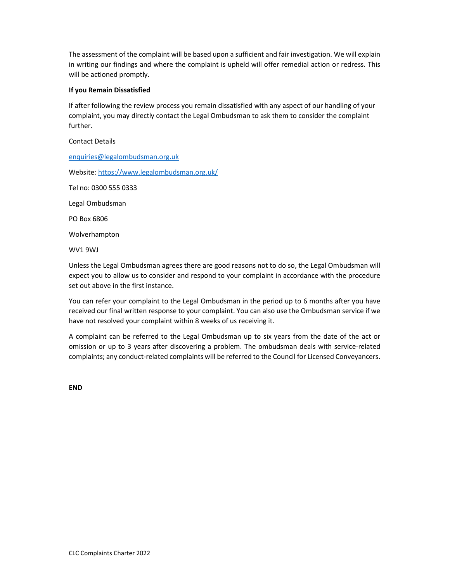The assessment of the complaint will be based upon a sufficient and fair investigation. We will explain in writing our findings and where the complaint is upheld will offer remedial action or redress. This will be actioned promptly.

#### If you Remain Dissatisfied

If after following the review process you remain dissatisfied with any aspect of our handling of your complaint, you may directly contact the Legal Ombudsman to ask them to consider the complaint further.

Contact Details

enquiries@legalombudsman.org.uk

Website: https://www.legalombudsman.org.uk/

Tel no: 0300 555 0333

Legal Ombudsman

PO Box 6806

Wolverhampton

WV1 9WJ

Unless the Legal Ombudsman agrees there are good reasons not to do so, the Legal Ombudsman will expect you to allow us to consider and respond to your complaint in accordance with the procedure set out above in the first instance.

You can refer your complaint to the Legal Ombudsman in the period up to 6 months after you have received our final written response to your complaint. You can also use the Ombudsman service if we have not resolved your complaint within 8 weeks of us receiving it.

A complaint can be referred to the Legal Ombudsman up to six years from the date of the act or omission or up to 3 years after discovering a problem. The ombudsman deals with service-related complaints; any conduct-related complaints will be referred to the Council for Licensed Conveyancers.

END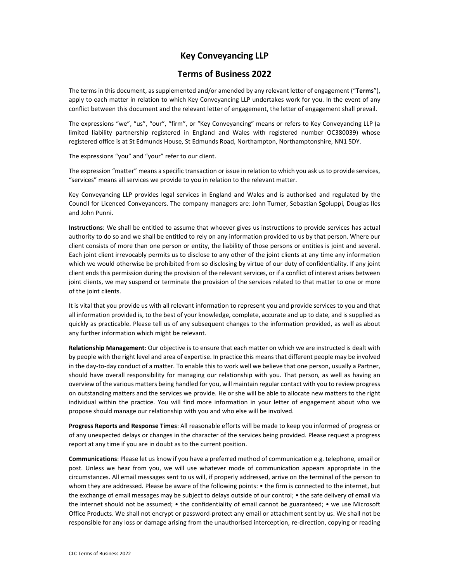### Key Conveyancing LLP

### Terms of Business 2022

The terms in this document, as supplemented and/or amended by any relevant letter of engagement ("Terms"), apply to each matter in relation to which Key Conveyancing LLP undertakes work for you. In the event of any conflict between this document and the relevant letter of engagement, the letter of engagement shall prevail.

The expressions "we", "us", "our", "firm", or "Key Conveyancing" means or refers to Key Conveyancing LLP (a limited liability partnership registered in England and Wales with registered number OC380039) whose registered office is at St Edmunds House, St Edmunds Road, Northampton, Northamptonshire, NN1 5DY.

The expressions "you" and "your" refer to our client.

The expression "matter" means a specific transaction or issue in relation to which you ask us to provide services, "services" means all services we provide to you in relation to the relevant matter.

Key Conveyancing LLP provides legal services in England and Wales and is authorised and regulated by the Council for Licenced Conveyancers. The company managers are: John Turner, Sebastian Sgoluppi, Douglas Iles and John Punni.

Instructions: We shall be entitled to assume that whoever gives us instructions to provide services has actual authority to do so and we shall be entitled to rely on any information provided to us by that person. Where our client consists of more than one person or entity, the liability of those persons or entities is joint and several. Each joint client irrevocably permits us to disclose to any other of the joint clients at any time any information which we would otherwise be prohibited from so disclosing by virtue of our duty of confidentiality. If any joint client ends this permission during the provision of the relevant services, or if a conflict of interest arises between joint clients, we may suspend or terminate the provision of the services related to that matter to one or more of the joint clients.

It is vital that you provide us with all relevant information to represent you and provide services to you and that all information provided is, to the best of your knowledge, complete, accurate and up to date, and is supplied as quickly as practicable. Please tell us of any subsequent changes to the information provided, as well as about any further information which might be relevant.

Relationship Management: Our objective is to ensure that each matter on which we are instructed is dealt with by people with the right level and area of expertise. In practice this means that different people may be involved in the day-to-day conduct of a matter. To enable this to work well we believe that one person, usually a Partner, should have overall responsibility for managing our relationship with you. That person, as well as having an overview of the various matters being handled for you, will maintain regular contact with you to review progress on outstanding matters and the services we provide. He or she will be able to allocate new matters to the right individual within the practice. You will find more information in your letter of engagement about who we propose should manage our relationship with you and who else will be involved.

Progress Reports and Response Times: All reasonable efforts will be made to keep you informed of progress or of any unexpected delays or changes in the character of the services being provided. Please request a progress report at any time if you are in doubt as to the current position.

Communications: Please let us know if you have a preferred method of communication e.g. telephone, email or post. Unless we hear from you, we will use whatever mode of communication appears appropriate in the circumstances. All email messages sent to us will, if properly addressed, arrive on the terminal of the person to whom they are addressed. Please be aware of the following points: • the firm is connected to the internet, but the exchange of email messages may be subject to delays outside of our control; • the safe delivery of email via the internet should not be assumed; • the confidentiality of email cannot be guaranteed; • we use Microsoft Office Products. We shall not encrypt or password-protect any email or attachment sent by us. We shall not be responsible for any loss or damage arising from the unauthorised interception, re-direction, copying or reading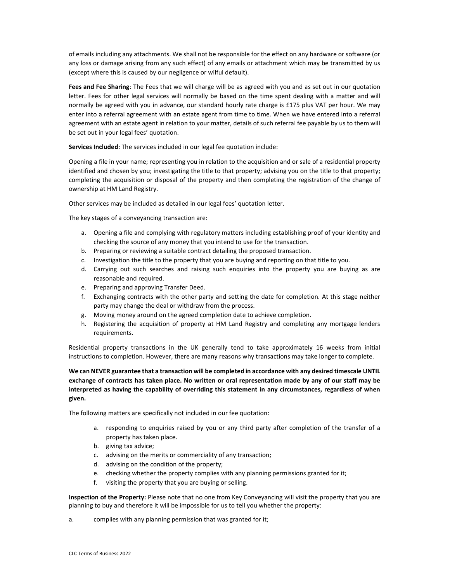of emails including any attachments. We shall not be responsible for the effect on any hardware or software (or any loss or damage arising from any such effect) of any emails or attachment which may be transmitted by us (except where this is caused by our negligence or wilful default).

Fees and Fee Sharing: The Fees that we will charge will be as agreed with you and as set out in our quotation letter. Fees for other legal services will normally be based on the time spent dealing with a matter and will normally be agreed with you in advance, our standard hourly rate charge is £175 plus VAT per hour. We may enter into a referral agreement with an estate agent from time to time. When we have entered into a referral agreement with an estate agent in relation to your matter, details of such referral fee payable by us to them will be set out in your legal fees' quotation.

Services Included: The services included in our legal fee quotation include:

Opening a file in your name; representing you in relation to the acquisition and or sale of a residential property identified and chosen by you; investigating the title to that property; advising you on the title to that property; completing the acquisition or disposal of the property and then completing the registration of the change of ownership at HM Land Registry.

Other services may be included as detailed in our legal fees' quotation letter.

The key stages of a conveyancing transaction are:

- a. Opening a file and complying with regulatory matters including establishing proof of your identity and checking the source of any money that you intend to use for the transaction.
- b. Preparing or reviewing a suitable contract detailing the proposed transaction.
- c. Investigation the title to the property that you are buying and reporting on that title to you.
- d. Carrying out such searches and raising such enquiries into the property you are buying as are reasonable and required.
- e. Preparing and approving Transfer Deed.
- f. Exchanging contracts with the other party and setting the date for completion. At this stage neither party may change the deal or withdraw from the process.
- g. Moving money around on the agreed completion date to achieve completion.
- h. Registering the acquisition of property at HM Land Registry and completing any mortgage lenders requirements.

Residential property transactions in the UK generally tend to take approximately 16 weeks from initial instructions to completion. However, there are many reasons why transactions may take longer to complete.

We can NEVER guarantee that a transaction will be completed in accordance with any desired timescale UNTIL exchange of contracts has taken place. No written or oral representation made by any of our staff may be interpreted as having the capability of overriding this statement in any circumstances, regardless of when given.

The following matters are specifically not included in our fee quotation:

- a. responding to enquiries raised by you or any third party after completion of the transfer of a property has taken place.
- b. giving tax advice;
- c. advising on the merits or commerciality of any transaction;
- d. advising on the condition of the property;
- e. checking whether the property complies with any planning permissions granted for it;
- f. visiting the property that you are buying or selling.

Inspection of the Property: Please note that no one from Key Conveyancing will visit the property that you are planning to buy and therefore it will be impossible for us to tell you whether the property:

a. complies with any planning permission that was granted for it;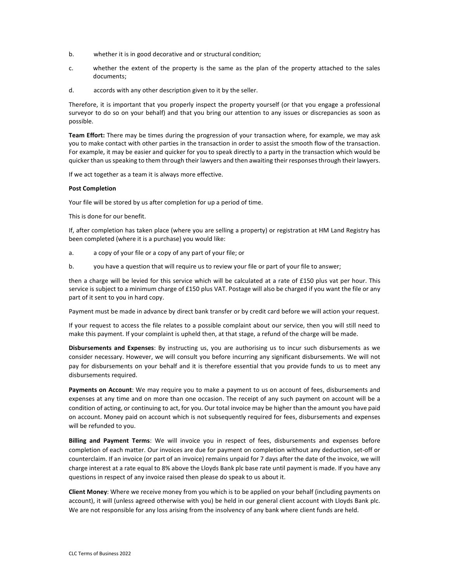- b. whether it is in good decorative and or structural condition;
- c. whether the extent of the property is the same as the plan of the property attached to the sales documents;
- d. accords with any other description given to it by the seller.

Therefore, it is important that you properly inspect the property yourself (or that you engage a professional surveyor to do so on your behalf) and that you bring our attention to any issues or discrepancies as soon as possible.

**Team Effort:** There may be times during the progression of your transaction where, for example, we may ask you to make contact with other parties in the transaction in order to assist the smooth flow of the transaction. For example, it may be easier and quicker for you to speak directly to a party in the transaction which would be quicker than us speaking to them through their lawyers and then awaiting their responses through their lawyers.

If we act together as a team it is always more effective.

#### Post Completion

Your file will be stored by us after completion for up a period of time.

This is done for our benefit.

If, after completion has taken place (where you are selling a property) or registration at HM Land Registry has been completed (where it is a purchase) you would like:

- a. a copy of your file or a copy of any part of your file; or
- b. you have a question that will require us to review your file or part of your file to answer;

then a charge will be levied for this service which will be calculated at a rate of £150 plus vat per hour. This service is subject to a minimum charge of £150 plus VAT. Postage will also be charged if you want the file or any part of it sent to you in hard copy.

Payment must be made in advance by direct bank transfer or by credit card before we will action your request.

If your request to access the file relates to a possible complaint about our service, then you will still need to make this payment. If your complaint is upheld then, at that stage, a refund of the charge will be made.

Disbursements and Expenses: By instructing us, you are authorising us to incur such disbursements as we consider necessary. However, we will consult you before incurring any significant disbursements. We will not pay for disbursements on your behalf and it is therefore essential that you provide funds to us to meet any disbursements required.

Payments on Account: We may require you to make a payment to us on account of fees, disbursements and expenses at any time and on more than one occasion. The receipt of any such payment on account will be a condition of acting, or continuing to act, for you. Our total invoice may be higher than the amount you have paid on account. Money paid on account which is not subsequently required for fees, disbursements and expenses will be refunded to you.

Billing and Payment Terms: We will invoice you in respect of fees, disbursements and expenses before completion of each matter. Our invoices are due for payment on completion without any deduction, set-off or counterclaim. If an invoice (or part of an invoice) remains unpaid for 7 days after the date of the invoice, we will charge interest at a rate equal to 8% above the Lloyds Bank plc base rate until payment is made. If you have any questions in respect of any invoice raised then please do speak to us about it.

Client Money: Where we receive money from you which is to be applied on your behalf (including payments on account), it will (unless agreed otherwise with you) be held in our general client account with Lloyds Bank plc. We are not responsible for any loss arising from the insolvency of any bank where client funds are held.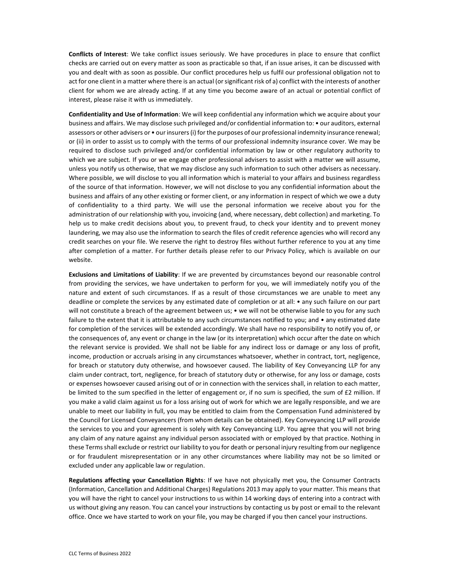Conflicts of Interest: We take conflict issues seriously. We have procedures in place to ensure that conflict checks are carried out on every matter as soon as practicable so that, if an issue arises, it can be discussed with you and dealt with as soon as possible. Our conflict procedures help us fulfil our professional obligation not to act for one client in a matter where there is an actual (or significant risk of a) conflict with the interests of another client for whom we are already acting. If at any time you become aware of an actual or potential conflict of interest, please raise it with us immediately.

Confidentiality and Use of Information: We will keep confidential any information which we acquire about your business and affairs. We may disclose such privileged and/or confidential information to: • our auditors, external assessors or other advisers or  $\bullet$  our insurers (i) for the purposes of our professional indemnity insurance renewal; or (ii) in order to assist us to comply with the terms of our professional indemnity insurance cover. We may be required to disclose such privileged and/or confidential information by law or other regulatory authority to which we are subject. If you or we engage other professional advisers to assist with a matter we will assume, unless you notify us otherwise, that we may disclose any such information to such other advisers as necessary. Where possible, we will disclose to you all information which is material to your affairs and business regardless of the source of that information. However, we will not disclose to you any confidential information about the business and affairs of any other existing or former client, or any information in respect of which we owe a duty of confidentiality to a third party. We will use the personal information we receive about you for the administration of our relationship with you, invoicing (and, where necessary, debt collection) and marketing. To help us to make credit decisions about you, to prevent fraud, to check your identity and to prevent money laundering, we may also use the information to search the files of credit reference agencies who will record any credit searches on your file. We reserve the right to destroy files without further reference to you at any time after completion of a matter. For further details please refer to our Privacy Policy, which is available on our website.

Exclusions and Limitations of Liability: If we are prevented by circumstances beyond our reasonable control from providing the services, we have undertaken to perform for you, we will immediately notify you of the nature and extent of such circumstances. If as a result of those circumstances we are unable to meet any deadline or complete the services by any estimated date of completion or at all: • any such failure on our part will not constitute a breach of the agreement between us; • we will not be otherwise liable to you for any such failure to the extent that it is attributable to any such circumstances notified to you; and • any estimated date for completion of the services will be extended accordingly. We shall have no responsibility to notify you of, or the consequences of, any event or change in the law (or its interpretation) which occur after the date on which the relevant service is provided. We shall not be liable for any indirect loss or damage or any loss of profit, income, production or accruals arising in any circumstances whatsoever, whether in contract, tort, negligence, for breach or statutory duty otherwise, and howsoever caused. The liability of Key Conveyancing LLP for any claim under contract, tort, negligence, for breach of statutory duty or otherwise, for any loss or damage, costs or expenses howsoever caused arising out of or in connection with the services shall, in relation to each matter, be limited to the sum specified in the letter of engagement or, if no sum is specified, the sum of £2 million. If you make a valid claim against us for a loss arising out of work for which we are legally responsible, and we are unable to meet our liability in full, you may be entitled to claim from the Compensation Fund administered by the Council for Licensed Conveyancers (from whom details can be obtained). Key Conveyancing LLP will provide the services to you and your agreement is solely with Key Conveyancing LLP. You agree that you will not bring any claim of any nature against any individual person associated with or employed by that practice. Nothing in these Terms shall exclude or restrict our liability to you for death or personal injury resulting from our negligence or for fraudulent misrepresentation or in any other circumstances where liability may not be so limited or excluded under any applicable law or regulation.

Regulations affecting your Cancellation Rights: If we have not physically met you, the Consumer Contracts (Information, Cancellation and Additional Charges) Regulations 2013 may apply to your matter. This means that you will have the right to cancel your instructions to us within 14 working days of entering into a contract with us without giving any reason. You can cancel your instructions by contacting us by post or email to the relevant office. Once we have started to work on your file, you may be charged if you then cancel your instructions.